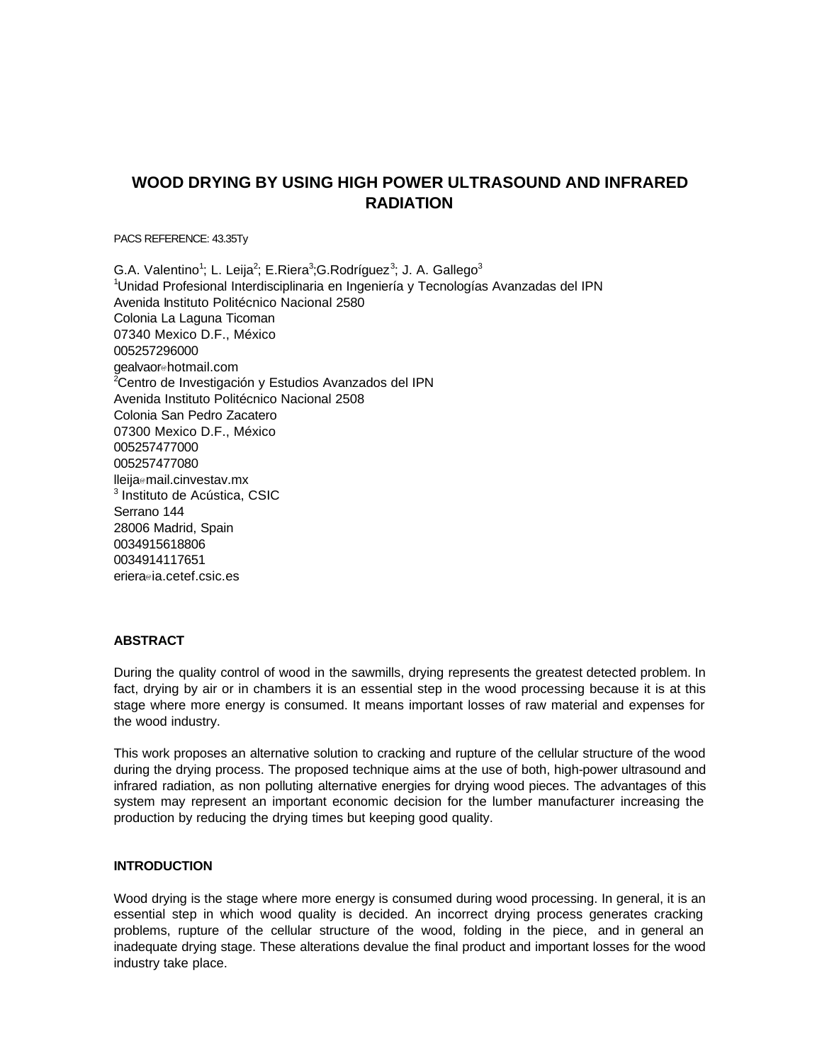# **WOOD DRYING BY USING HIGH POWER ULTRASOUND AND INFRARED RADIATION**

PACS REFERENCE: 43.35Ty

G.A. Valentino<sup>1</sup>; L. Leija<sup>2</sup>; E.Riera<sup>3</sup>;G.Rodríguez<sup>3</sup>; J. A. Gallego<sup>3</sup> <sup>1</sup>Unidad Profesional Interdisciplinaria en Ingeniería y Tecnologías Avanzadas del IPN Avenida Instituto Politécnico Nacional 2580 Colonia La Laguna Ticoman 07340 Mexico D.F., México 005257296000 gealvaor@hotmail.com <sup>2</sup>Centro de Investigación y Estudios Avanzados del IPN Avenida Instituto Politécnico Nacional 2508 Colonia San Pedro Zacatero 07300 Mexico D.F., México 005257477000 005257477080 lleija@mail.cinvestav.mx <sup>3</sup> Instituto de Acústica, CSIC Serrano 144 28006 Madrid, Spain 0034915618806 0034914117651 eriera@ia.cetef.csic.es

#### **ABSTRACT**

During the quality control of wood in the sawmills, drying represents the greatest detected problem. In fact, drying by air or in chambers it is an essential step in the wood processing because it is at this stage where more energy is consumed. It means important losses of raw material and expenses for the wood industry.

This work proposes an alternative solution to cracking and rupture of the cellular structure of the wood during the drying process. The proposed technique aims at the use of both, high-power ultrasound and infrared radiation, as non polluting alternative energies for drying wood pieces. The advantages of this system may represent an important economic decision for the lumber manufacturer increasing the production by reducing the drying times but keeping good quality.

### **INTRODUCTION**

Wood drying is the stage where more energy is consumed during wood processing. In general, it is an essential step in which wood quality is decided. An incorrect drying process generates cracking problems, rupture of the cellular structure of the wood, folding in the piece, and in general an inadequate drying stage. These alterations devalue the final product and important losses for the wood industry take place.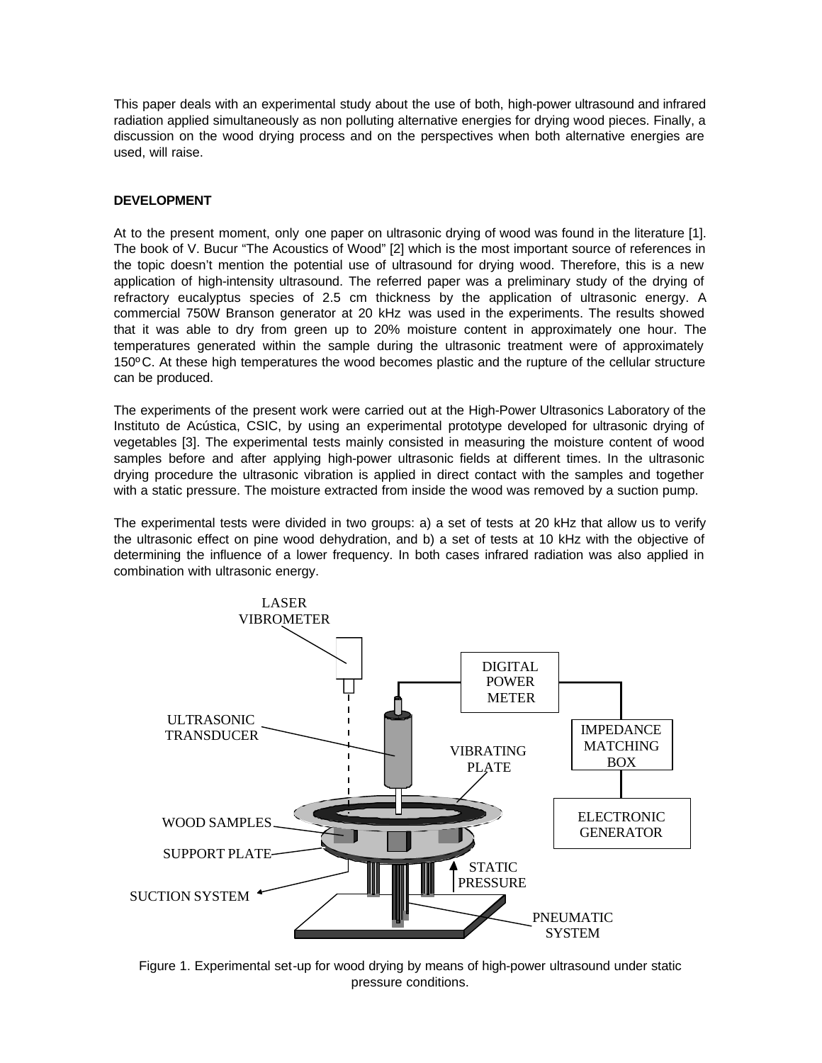This paper deals with an experimental study about the use of both, high-power ultrasound and infrared radiation applied simultaneously as non polluting alternative energies for drying wood pieces. Finally, a discussion on the wood drying process and on the perspectives when both alternative energies are used, will raise.

# **DEVELOPMENT**

At to the present moment, only one paper on ultrasonic drying of wood was found in the literature [1]. The book of V. Bucur "The Acoustics of Wood" [2] which is the most important source of references in the topic doesn't mention the potential use of ultrasound for drying wood. Therefore, this is a new application of high-intensity ultrasound. The referred paper was a preliminary study of the drying of refractory eucalyptus species of 2.5 cm thickness by the application of ultrasonic energy. A commercial 750W Branson generator at 20 kHz was used in the experiments. The results showed that it was able to dry from green up to 20% moisture content in approximately one hour. The temperatures generated within the sample during the ultrasonic treatment were of approximately 150ºC. At these high temperatures the wood becomes plastic and the rupture of the cellular structure can be produced.

The experiments of the present work were carried out at the High-Power Ultrasonics Laboratory of the Instituto de Acústica, CSIC, by using an experimental prototype developed for ultrasonic drying of vegetables [3]. The experimental tests mainly consisted in measuring the moisture content of wood samples before and after applying high-power ultrasonic fields at different times. In the ultrasonic drying procedure the ultrasonic vibration is applied in direct contact with the samples and together with a static pressure. The moisture extracted from inside the wood was removed by a suction pump.

The experimental tests were divided in two groups: a) a set of tests at 20 kHz that allow us to verify the ultrasonic effect on pine wood dehydration, and b) a set of tests at 10 kHz with the objective of determining the influence of a lower frequency. In both cases infrared radiation was also applied in combination with ultrasonic energy.



Figure 1. Experimental set-up for wood drying by means of high-power ultrasound under static pressure conditions.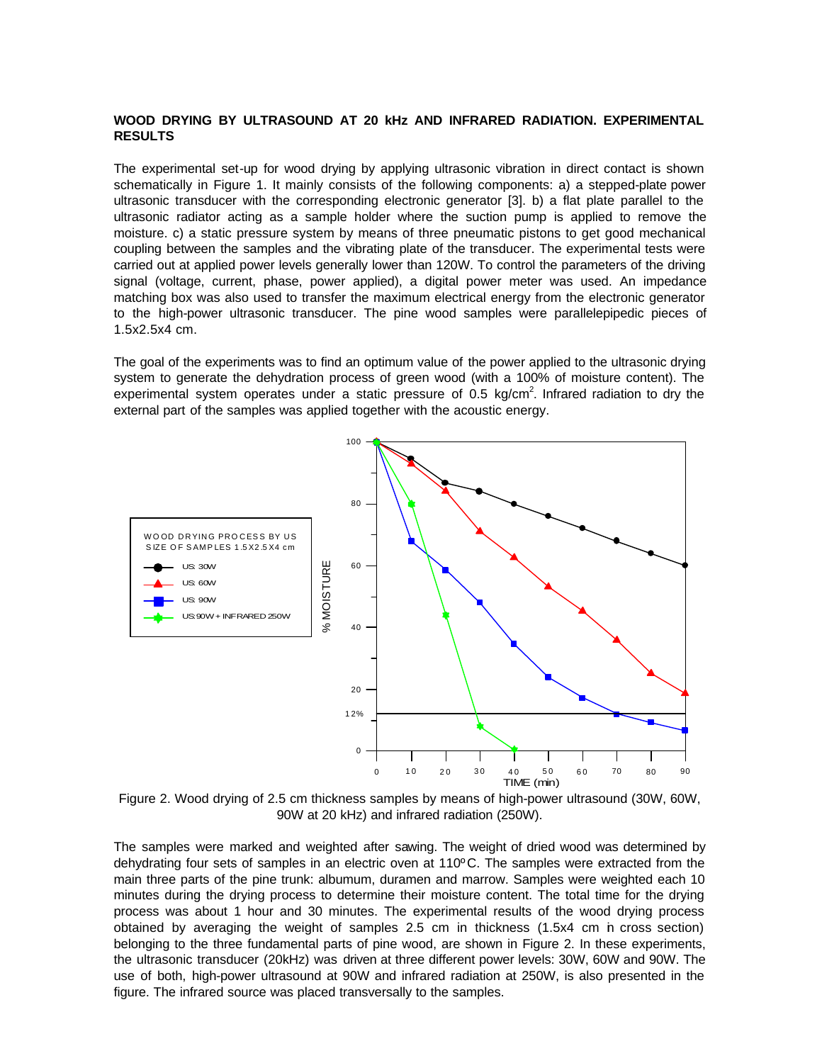## **WOOD DRYING BY ULTRASOUND AT 20 kHz AND INFRARED RADIATION. EXPERIMENTAL RESULTS**

The experimental set-up for wood drying by applying ultrasonic vibration in direct contact is shown schematically in Figure 1. It mainly consists of the following components: a) a stepped-plate power ultrasonic transducer with the corresponding electronic generator [3]. b) a flat plate parallel to the ultrasonic radiator acting as a sample holder where the suction pump is applied to remove the moisture. c) a static pressure system by means of three pneumatic pistons to get good mechanical coupling between the samples and the vibrating plate of the transducer. The experimental tests were carried out at applied power levels generally lower than 120W. To control the parameters of the driving signal (voltage, current, phase, power applied), a digital power meter was used. An impedance matching box was also used to transfer the maximum electrical energy from the electronic generator to the high-power ultrasonic transducer. The pine wood samples were parallelepipedic pieces of 1.5x2.5x4 cm.

The goal of the experiments was to find an optimum value of the power applied to the ultrasonic drying system to generate the dehydration process of green wood (with a 100% of moisture content). The experimental system operates under a static pressure of 0.5 kg/cm<sup>2</sup>. Infrared radiation to dry the external part of the samples was applied together with the acoustic energy.



Figure 2. Wood drying of 2.5 cm thickness samples by means of high-power ultrasound (30W, 60W, 90W at 20 kHz) and infrared radiation (250W).

The samples were marked and weighted after sawing. The weight of dried wood was determined by dehydrating four sets of samples in an electric oven at 110ºC. The samples were extracted from the main three parts of the pine trunk: albumum, duramen and marrow. Samples were weighted each 10 minutes during the drying process to determine their moisture content. The total time for the drying process was about 1 hour and 30 minutes. The experimental results of the wood drying process obtained by averaging the weight of samples 2.5 cm in thickness (1.5x4 cm in cross section) belonging to the three fundamental parts of pine wood, are shown in Figure 2. In these experiments, the ultrasonic transducer (20kHz) was driven at three different power levels: 30W, 60W and 90W. The use of both, high-power ultrasound at 90W and infrared radiation at 250W, is also presented in the figure. The infrared source was placed transversally to the samples.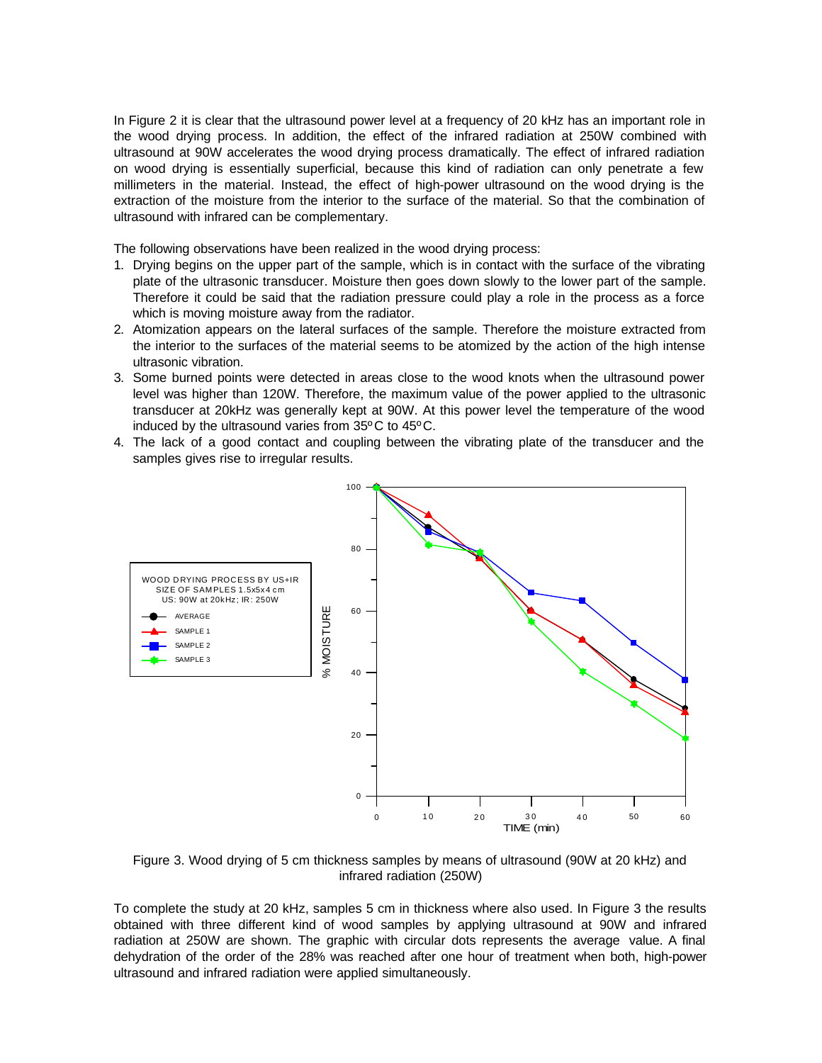In Figure 2 it is clear that the ultrasound power level at a frequency of 20 kHz has an important role in the wood drying process. In addition, the effect of the infrared radiation at 250W combined with ultrasound at 90W accelerates the wood drying process dramatically. The effect of infrared radiation on wood drying is essentially superficial, because this kind of radiation can only penetrate a few millimeters in the material. Instead, the effect of high-power ultrasound on the wood drying is the extraction of the moisture from the interior to the surface of the material. So that the combination of ultrasound with infrared can be complementary.

The following observations have been realized in the wood drying process:

- 1. Drying begins on the upper part of the sample, which is in contact with the surface of the vibrating plate of the ultrasonic transducer. Moisture then goes down slowly to the lower part of the sample. Therefore it could be said that the radiation pressure could play a role in the process as a force which is moving moisture away from the radiator.
- 2. Atomization appears on the lateral surfaces of the sample. Therefore the moisture extracted from the interior to the surfaces of the material seems to be atomized by the action of the high intense ultrasonic vibration.
- 3. Some burned points were detected in areas close to the wood knots when the ultrasound power level was higher than 120W. Therefore, the maximum value of the power applied to the ultrasonic transducer at 20kHz was generally kept at 90W. At this power level the temperature of the wood induced by the ultrasound varies from 35ºC to 45ºC.
- 4. The lack of a good contact and coupling between the vibrating plate of the transducer and the samples gives rise to irregular results.



Figure 3. Wood drying of 5 cm thickness samples by means of ultrasound (90W at 20 kHz) and infrared radiation (250W)

To complete the study at 20 kHz, samples 5 cm in thickness where also used. In Figure 3 the results obtained with three different kind of wood samples by applying ultrasound at 90W and infrared radiation at 250W are shown. The graphic with circular dots represents the average value. A final dehydration of the order of the 28% was reached after one hour of treatment when both, high-power ultrasound and infrared radiation were applied simultaneously.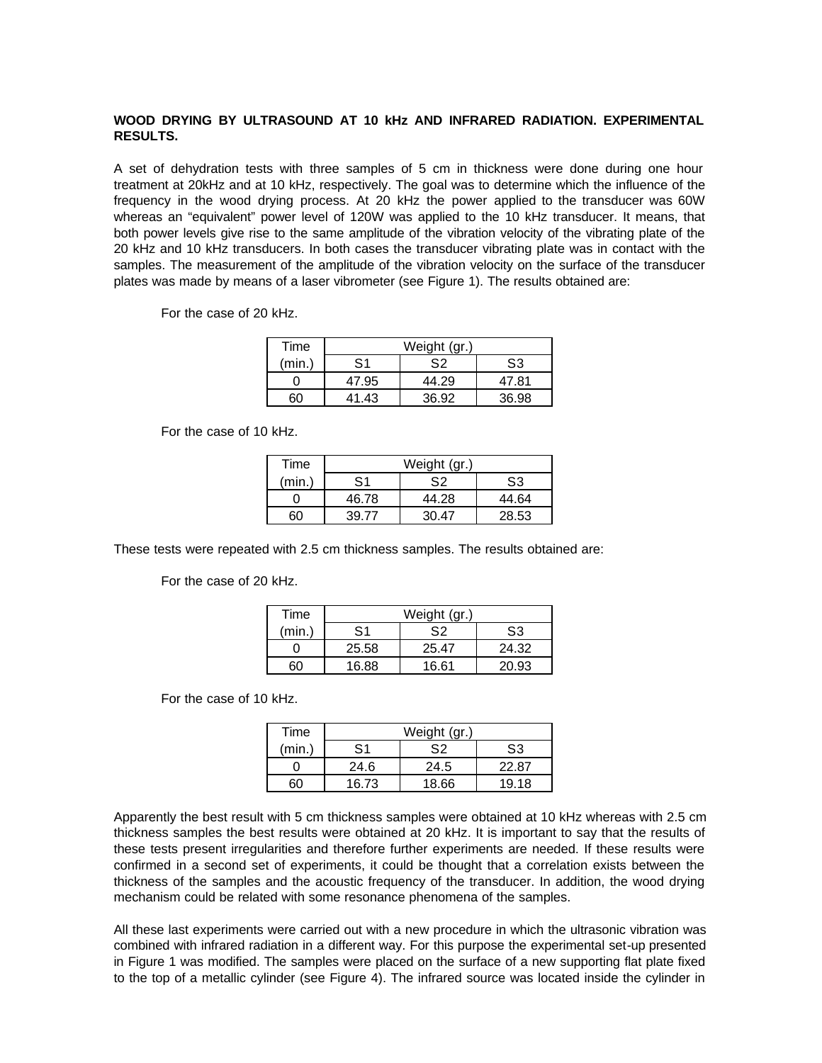# **WOOD DRYING BY ULTRASOUND AT 10 kHz AND INFRARED RADIATION. EXPERIMENTAL RESULTS.**

A set of dehydration tests with three samples of 5 cm in thickness were done during one hour treatment at 20kHz and at 10 kHz, respectively. The goal was to determine which the influence of the frequency in the wood drying process. At 20 kHz the power applied to the transducer was 60W whereas an "equivalent" power level of 120W was applied to the 10 kHz transducer. It means, that both power levels give rise to the same amplitude of the vibration velocity of the vibrating plate of the 20 kHz and 10 kHz transducers. In both cases the transducer vibrating plate was in contact with the samples. The measurement of the amplitude of the vibration velocity on the surface of the transducer plates was made by means of a laser vibrometer (see Figure 1). The results obtained are:

For the case of 20 kHz.

| Time   | Weight (gr.) |       |       |
|--------|--------------|-------|-------|
| (min.) | S1           | S2    | S3    |
|        | 47.95        | 44.29 | 47.81 |
|        | 41.43        | 36.92 | 36.98 |

For the case of 10 kHz.

| Time   | Weight (gr.)   |       |       |
|--------|----------------|-------|-------|
| (min.) | S <sub>1</sub> | S2    | S3    |
|        | 46.78          | 44.28 | 44.64 |
| 60     | 39.77          | 30 47 | 28.53 |

These tests were repeated with 2.5 cm thickness samples. The results obtained are:

For the case of 20 kHz.

| Time   | Weight (gr.)  |       |       |
|--------|---------------|-------|-------|
| (min.) | $\mathsf{S}1$ | S2    | S3    |
|        | 25.58         | 25.47 | 24.32 |
| חה     | 16.88         | 16.61 | 20.93 |

For the case of 10 kHz.

| Time   | Weight (gr.) |       |       |
|--------|--------------|-------|-------|
| (min.) | S1           | S2    | S3    |
|        | 24.6         | 24.5  | 22.87 |
|        | 16.73        | 18.66 | 19.18 |

Apparently the best result with 5 cm thickness samples were obtained at 10 kHz whereas with 2.5 cm thickness samples the best results were obtained at 20 kHz. It is important to say that the results of these tests present irregularities and therefore further experiments are needed. If these results were confirmed in a second set of experiments, it could be thought that a correlation exists between the thickness of the samples and the acoustic frequency of the transducer. In addition, the wood drying mechanism could be related with some resonance phenomena of the samples.

All these last experiments were carried out with a new procedure in which the ultrasonic vibration was combined with infrared radiation in a different way. For this purpose the experimental set-up presented in Figure 1 was modified. The samples were placed on the surface of a new supporting flat plate fixed to the top of a metallic cylinder (see Figure 4). The infrared source was located inside the cylinder in